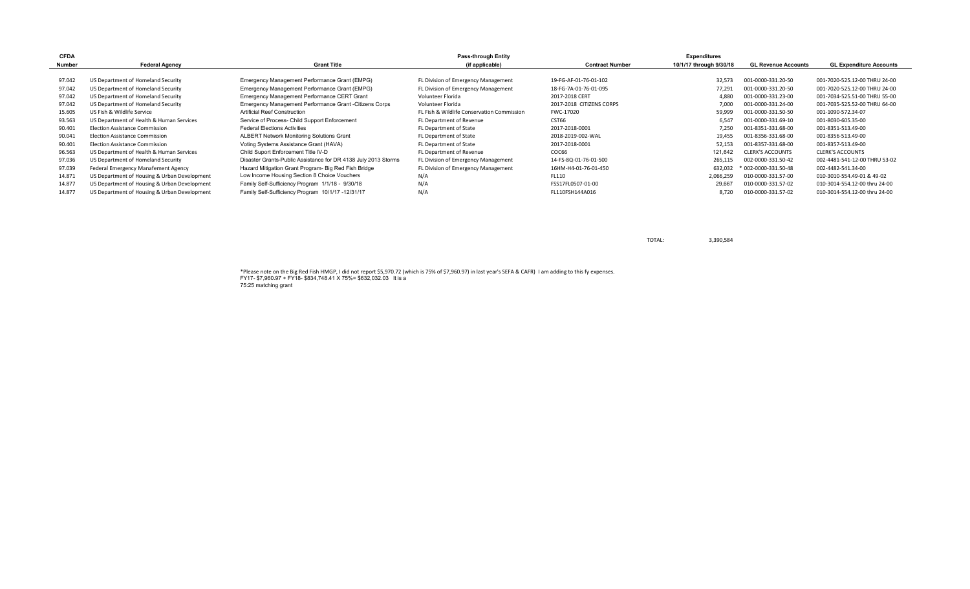| <b>CFDA</b> |                                              |                                                                | <b>Pass-through Entity</b>                 |                          | <b>Expenditures</b>     |                            |                                |
|-------------|----------------------------------------------|----------------------------------------------------------------|--------------------------------------------|--------------------------|-------------------------|----------------------------|--------------------------------|
| Number      | <b>Federal Agency</b>                        | <b>Grant Title</b>                                             | (if applicable)                            | <b>Contract Number</b>   | 10/1/17 through 9/30/18 | <b>GL Revenue Accounts</b> | <b>GL Expenditure Accounts</b> |
|             |                                              |                                                                |                                            |                          |                         |                            |                                |
| 97.042      | US Department of Homeland Security           | Emergency Management Performance Grant (EMPG)                  | FL Division of Emergency Management        | 19-FG-AF-01-76-01-102    | 32,573                  | 001-0000-331.20-50         | 001-7020-525.12-00 THRU 24-00  |
| 97.042      | US Department of Homeland Security           | Emergency Management Performance Grant (EMPG)                  | FL Division of Emergency Management        | 18-FG-7A-01-76-01-095    | 77,291                  | 001-0000-331.20-50         | 001-7020-525.12-00 THRU 24-00  |
| 97.042      | US Department of Homeland Security           | Emergency Management Performance CERT Grant                    | Volunteer Florida                          | 2017-2018 CERT           | 4,880                   | 001-0000-331.23-00         | 001-7034-525.51-00 THRU 55-00  |
| 97.042      | US Department of Homeland Security           | Emergency Management Performance Grant - Citizens Corps        | Volunteer Florida                          | 2017-2018 CITIZENS CORPS | 7,000                   | 001-0000-331.24-00         | 001-7035-525.52-00 THRU 64-00  |
| 15.605      | US Fish & Wildlife Service                   | Artificial Reef Construction                                   | FL Fish & Wildlife Conservation Commission | FWC-17020                | 59,999                  | 001-0000-331.50-50         | 001-1090-572.34-07             |
| 93.563      | US Department of Health & Human Services     | Service of Process- Child Support Enforcement                  | FL Department of Revenue                   | CST66                    | 6,547                   | 001-0000-331.69-10         | 001-8030-605.35-00             |
| 90.401      | <b>Election Assistance Commission</b>        | <b>Federal Elections Activities</b>                            | FL Department of State                     | 2017-2018-0001           | 7,250                   | 001-8351-331.68-00         | 001-8351-513.49-00             |
| 90.041      | <b>Election Assistance Commission</b>        | <b>ALBERT Network Monitoring Solutions Grant</b>               | FL Department of State                     | 2018-2019-002-WAL        | 19,455                  | 001-8356-331.68-00         | 001-8356-513.49-00             |
| 90.401      | Election Assistance Commission               | Voting Systems Assistance Grant (HAVA)                         | FL Department of State                     | 2017-2018-0001           | 52,153                  | 001-8357-331.68-00         | 001-8357-513.49-00             |
| 96.563      | US Department of Health & Human Services     | Child Suport Enforcement Title IV-D                            | FL Department of Revenue                   | COC66                    | 121,642                 | <b>CLERK'S ACCOUNTS</b>    | <b>CLERK'S ACCOUNTS</b>        |
| 97.036      | US Department of Homeland Security           | Disaster Grants-Public Assistance for DR 4138 July 2013 Storms | FL Division of Emergency Management        | 14-FS-8Q-01-76-01-500    | 265,115                 | 002-0000-331.50-42         | 002-4481-541-12-00 THRU 53-02  |
| 97.039      | Federal Emergency Manafement Agency          | Hazard Mitigation Grant Program- Big Red Fish Bridge           | FL Division of Emergency Management        | 16HM-H4-01-76-01-450     | 632,032                 | * 002-0000-331.50-48       | 002-4482-541.34-00             |
| 14.871      | US Department of Housing & Urban Development | Low Income Housing Section 8 Choice Vouchers                   | N/A                                        | FL110                    | 2,066,259               | 010-0000-331.57-00         | 010-3010-554.49-01 & 49-02     |
| 14.877      | US Department of Housing & Urban Development | Family Self-Sufficiency Program 1/1/18 - 9/30/18               | N/A                                        | FSS17FL0507-01-00        | 29,667                  | 010-0000-331.57-02         | 010-3014-554.12-00 thru 24-00  |
| 14.877      | US Department of Housing & Urban Development | Family Self-Sufficiency Program 10/1/17 -12/31/17              | N/A                                        | FL110FSH144A016          | 8.720                   | 010-0000-331.57-02         | 010-3014-554.12-00 thru 24-00  |

TOTAL: 3,390,584

\*Please note on the Big Red Fish HMGP, I did not report \$5,970.72 (which is 75% of \$7,960.97) in last year's SEFA & CAFR) I am adding to this fy expenses. FY17- \$7,960.97 + FY18- \$834,748.41 X 75%= \$632,032.03 It is a 75:25 matching grant